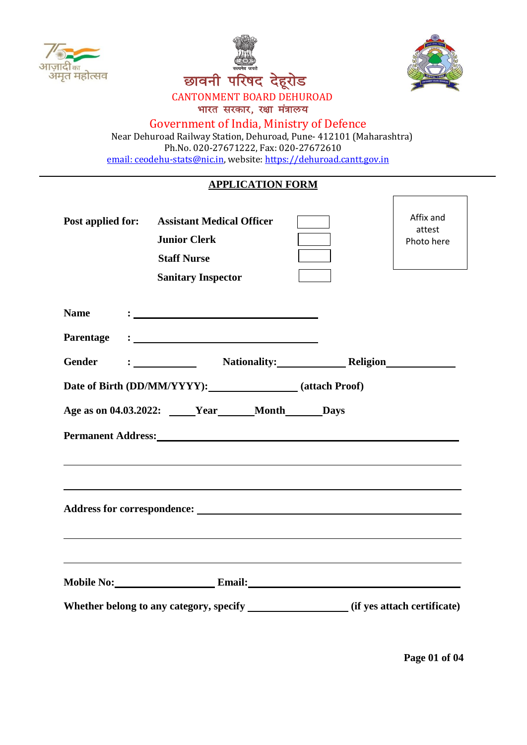





٦

 $\Gamma$ 

# CANTONMENT BOARD DEHUROAD

भारत सरकार, रक्षा मंत्रालय

### Government of India, Ministry of Defence

 Near Dehuroad Railway Station, Dehuroad, Pune- 412101 (Maharashtra) Ph.No. 020-27671222, Fax: 020-27672610 [email: ceodehu-stats@nic.in,](mailto:email:%20ceodehu-stats@nic.in) website: [https://dehuroad.cantt.gov.in](https://dehuroad.cantt.gov.in/)

### **APPLICATION FORM**

| <b>Post applied for:</b> | <b>Assistant Medical Officer</b><br><b>Junior Clerk</b><br><b>Staff Nurse</b><br><b>Sanitary Inspector</b>                                                                                                                     | Affix and<br>attest<br>Photo here |
|--------------------------|--------------------------------------------------------------------------------------------------------------------------------------------------------------------------------------------------------------------------------|-----------------------------------|
| <b>Name</b>              |                                                                                                                                                                                                                                |                                   |
| Parentage                |                                                                                                                                                                                                                                |                                   |
| <b>Gender</b>            | : Nationality: Religion Nationality: Nation Religion Nation Religion Nation Nationality: Nationality: Nation Religion Nation Nationality: Nationality: Nation Nation Nation Nation Nation Nation Nation Nation Nation Nation N |                                   |
|                          | Date of Birth (DD/MM/YYYY): (attach Proof)                                                                                                                                                                                     |                                   |
|                          | Age as on 04.03.2022: _____Year______Month______Days                                                                                                                                                                           |                                   |
|                          | Permanent Address: No. 1996. The Contract of the Contract of the Contract of the Contract of the Contract of the Contract of the Contract of the Contract of the Contract of the Contract of the Contract of the Contract of t |                                   |
|                          | ,我们也不能会有什么。""我们的人,我们也不能会有什么?""我们的人,我们也不能会有什么?""我们的人,我们也不能会有什么?""我们的人,我们也不能会有什么?""                                                                                                                                              |                                   |
|                          | Mobile No: Email: Email:<br>Whether belong to any category, specify ________________(if yes attach certificate)                                                                                                                |                                   |

**Page 01 of 04**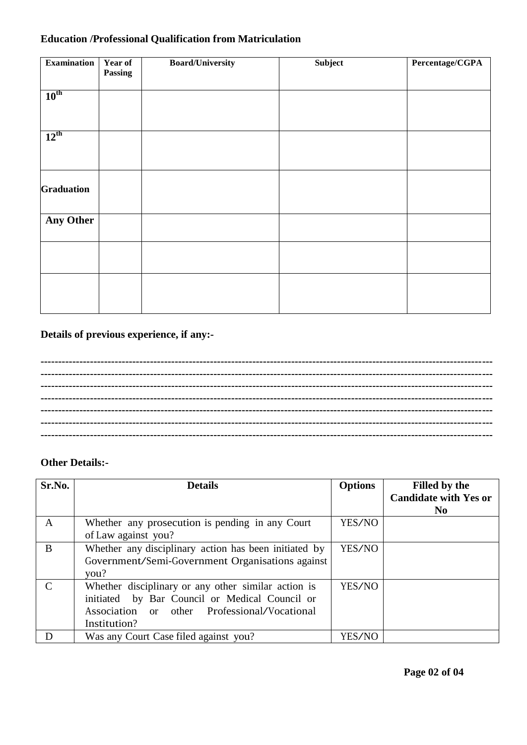# **Education /Professional Qualification from Matriculation**

| <b>Examination</b> | Year of | <b>Board/University</b> | Subject | Percentage/CGPA |
|--------------------|---------|-------------------------|---------|-----------------|
|                    | Passing |                         |         |                 |
|                    |         |                         |         |                 |
| $10^{\text{th}}$   |         |                         |         |                 |
|                    |         |                         |         |                 |
|                    |         |                         |         |                 |
| $12^{th}$          |         |                         |         |                 |
|                    |         |                         |         |                 |
|                    |         |                         |         |                 |
|                    |         |                         |         |                 |
| <b>Graduation</b>  |         |                         |         |                 |
|                    |         |                         |         |                 |
|                    |         |                         |         |                 |
| <b>Any Other</b>   |         |                         |         |                 |
|                    |         |                         |         |                 |
|                    |         |                         |         |                 |
|                    |         |                         |         |                 |
|                    |         |                         |         |                 |
|                    |         |                         |         |                 |
|                    |         |                         |         |                 |
|                    |         |                         |         |                 |

### **Details of previous experience, if any:-**

## **Other Details:-**

| Sr.No.        | <b>Details</b>                                        | <b>Options</b> | <b>Filled by the</b>         |
|---------------|-------------------------------------------------------|----------------|------------------------------|
|               |                                                       |                | <b>Candidate with Yes or</b> |
|               |                                                       |                | N <sub>0</sub>               |
| A             | Whether any prosecution is pending in any Court       | YES/NO         |                              |
|               | of Law against you?                                   |                |                              |
| B             | Whether any disciplinary action has been initiated by | YES/NO         |                              |
|               | Government/Semi-Government Organisations against      |                |                              |
|               | you?                                                  |                |                              |
| $\mathcal{C}$ | Whether disciplinary or any other similar action is   | YES/NO         |                              |
|               | initiated by Bar Council or Medical Council or        |                |                              |
|               | Association or other Professional/Vocational          |                |                              |
|               | Institution?                                          |                |                              |
| D             | Was any Court Case filed against you?                 | YES/NO         |                              |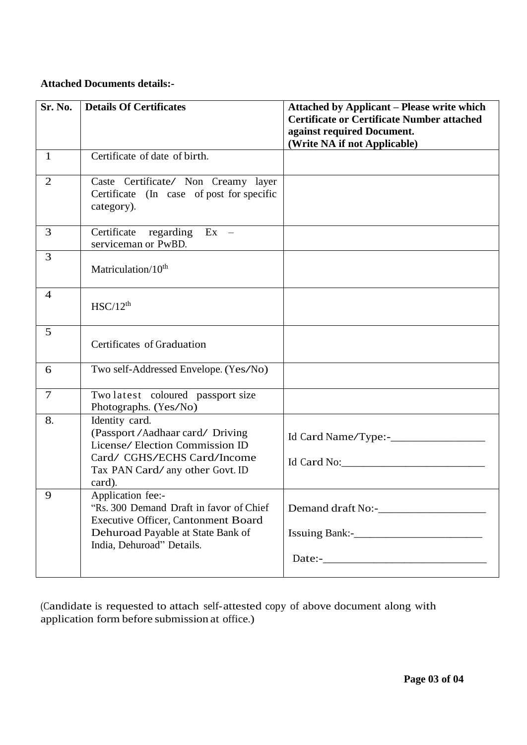#### **Attached Documents details:-**

| Sr. No.        | <b>Details Of Certificates</b>                                                                      | <b>Attached by Applicant - Please write which</b><br><b>Certificate or Certificate Number attached</b> |
|----------------|-----------------------------------------------------------------------------------------------------|--------------------------------------------------------------------------------------------------------|
|                |                                                                                                     | against required Document.<br>(Write NA if not Applicable)                                             |
| $\mathbf{1}$   | Certificate of date of birth.                                                                       |                                                                                                        |
| $\overline{2}$ | Caste Certificate/ Non Creamy layer<br>Certificate (In case of post for specific<br>category).      |                                                                                                        |
| 3              | Certificate regarding Ex -<br>serviceman or PwBD.                                                   |                                                                                                        |
| 3              | Matriculation/10 <sup>th</sup>                                                                      |                                                                                                        |
| $\overline{4}$ | HSC/12 <sup>th</sup>                                                                                |                                                                                                        |
| 5              | Certificates of Graduation                                                                          |                                                                                                        |
| 6              | Two self-Addressed Envelope. (Yes/No)                                                               |                                                                                                        |
| $\overline{7}$ | Two latest coloured passport size<br>Photographs. (Yes/No)                                          |                                                                                                        |
| 8.             | Identity card.<br>(Passport / Aadhaar card/ Driving<br>License/Election Commission ID               |                                                                                                        |
|                | Card/ CGHS/ECHS Card/Income<br>Tax PAN Card/ any other Govt. ID<br>card).                           | Id Card No:                                                                                            |
| 9              | Application fee:-<br>"Rs. 300 Demand Draft in favor of Chief<br>Executive Officer, Cantonment Board |                                                                                                        |
|                | Dehuroad Payable at State Bank of<br>India, Dehuroad" Details.                                      |                                                                                                        |
|                |                                                                                                     |                                                                                                        |

(Candidate is requested to attach self-attested copy of above document along with application form before submission at office.)